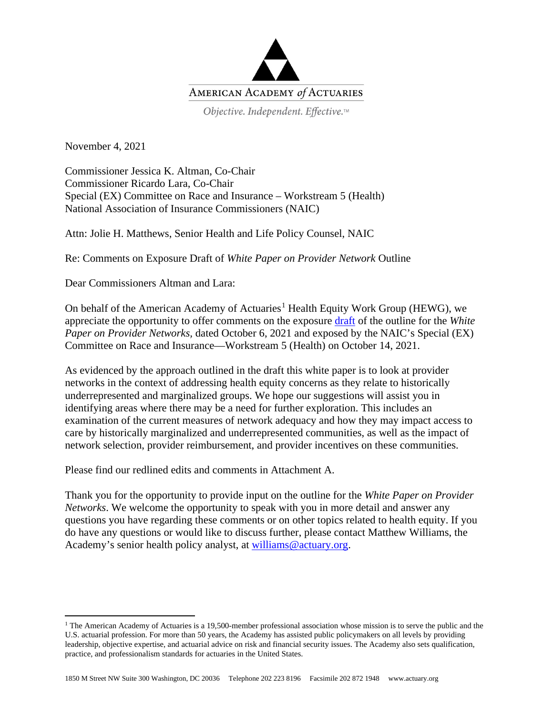

Objective. Independent. Effective.™

November 4, 2021

Commissioner Jessica K. Altman, Co-Chair Commissioner Ricardo Lara, Co-Chair Special (EX) Committee on Race and Insurance – Workstream 5 (Health) National Association of Insurance Commissioners (NAIC)

Attn: Jolie H. Matthews, Senior Health and Life Policy Counsel, NAIC

Re: Comments on Exposure Draft of *White Paper on Provider Network* Outline

Dear Commissioners Altman and Lara:

On behalf of the American Academy of Actuaries<sup>[1](#page-0-0)</sup> Health Equity Work Group (HEWG), we appreciate the opportunity to offer comments on the exposure [draft](https://content.naic.org/sites/default/files/inline-files/Provider%20Network%20White%20Paper%20Outline%20Draft.docx) of the outline for the *White Paper on Provider Networks,* dated October 6, 2021 and exposed by the NAIC's Special (EX) Committee on Race and Insurance—Workstream 5 (Health) on October 14, 2021.

As evidenced by the approach outlined in the draft this white paper is to look at provider networks in the context of addressing health equity concerns as they relate to historically underrepresented and marginalized groups. We hope our suggestions will assist you in identifying areas where there may be a need for further exploration. This includes an examination of the current measures of network adequacy and how they may impact access to care by historically marginalized and underrepresented communities, as well as the impact of network selection, provider reimbursement, and provider incentives on these communities.

Please find our redlined edits and comments in Attachment A.

Thank you for the opportunity to provide input on the outline for the *White Paper on Provider Networks*. We welcome the opportunity to speak with you in more detail and answer any questions you have regarding these comments or on other topics related to health equity. If you do have any questions or would like to discuss further, please contact Matthew Williams, the Academy's senior health policy analyst, at [williams@actuary.org.](mailto:williams@actuary.org)

<span id="page-0-0"></span><sup>&</sup>lt;sup>1</sup> The American Academy of Actuaries is a 19,500-member professional association whose mission is to serve the public and the U.S. actuarial profession. For more than 50 years, the Academy has assisted public policymakers on all levels by providing leadership, objective expertise, and actuarial advice on risk and financial security issues. The Academy also sets qualification, practice, and professionalism standards for actuaries in the United States.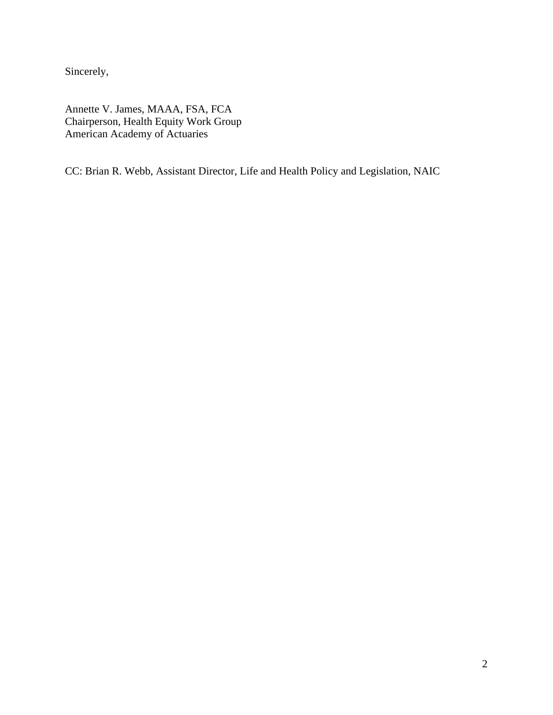Sincerely,

Annette V. James, MAAA, FSA, FCA Chairperson, Health Equity Work Group American Academy of Actuaries

CC: Brian R. Webb, Assistant Director, Life and Health Policy and Legislation, NAIC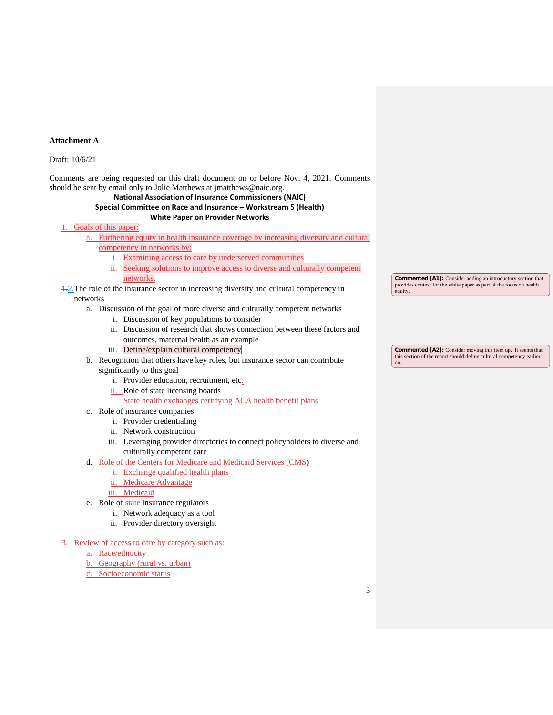#### **Attachment A**

## Draft: 10/6/21

Comments are being requested on this draft document on or before Nov. 4, 2021. Comments should be sent by email only to Jolie Matthews at jmatthews@naic.org.

## **National Association of Insurance Commissioners (NAIC) Special Committee on Race and Insurance – Workstream 5 (Health)**

## **White Paper on Provider Networks**

## Goals of this paper:

- a. Furthering equity in health insurance coverage by increasing diversity and cultural competency in networks by:
	- i. Examining access to care by underserved communities
	- ii. Seeking solutions to improve access to diverse and culturally competent networks.

## $\frac{1}{2}$ . The role of the insurance sector in increasing diversity and cultural competency in networks

#### a. Discussion of the goal of more diverse and culturally competent networks

- i. Discussion of key populations to consider
- ii. Discussion of research that shows connection between these factors and outcomes, maternal health as an example
- iii. Define/explain cultural competency
- b. Recognition that others have key roles, but insurance sector can contribute significantly to this goal
	- i. Provider education, recruitment, etc.
	- ii. Role of state licensing boards
	- State health exchanges certifying ACA health benefit plans
- c. Role of insurance companies
	- i. Provider credentialing
	- ii. Network construction
	- iii. Leveraging provider directories to connect policyholders to diverse and culturally competent care
- d. Role of the Centers for Medicare and Medicaid Services (CMS)
	- i. Exchange qualified health plans
	- ii. Medicare Advantage
	- iii. Medicaid
- e. Role of state insurance regulators
	- i. Network adequacy as a tool
	- ii. Provider directory oversight
- 3. Review of access to care by category such as:
	- a. Race/ethnicity
	- b. Geography (rural vs. urban)
	- c. Socioeconomic status

**Commented [A1]:** Consider adding an introductory section that provides context for the white paper as part of the focus on health equity.

**Commented [A2]:** Consider moving this item up. It seems that this section of the report should define cultural competency earlier on.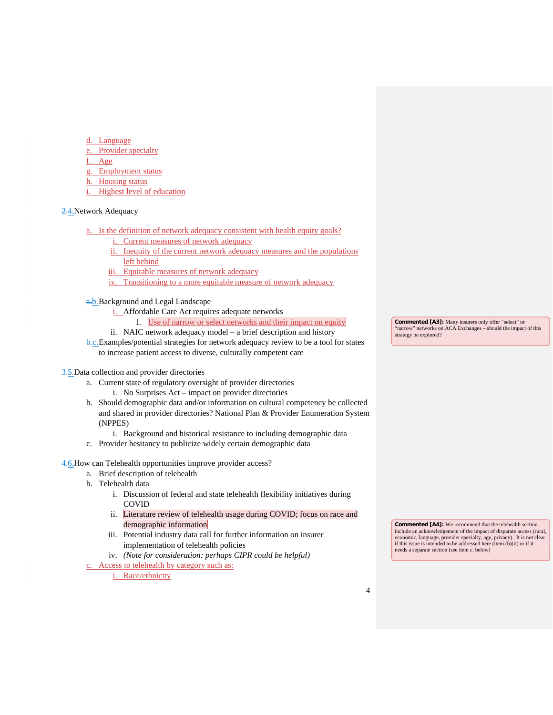- Language
- e. Provider specialty
- Age
- Employment status
- h. Housing status
- i. Highest level of education

#### 2.4. Network Adequacy

- a. Is the definition of network adequacy consistent with health equity goals?
	- i. Current measures of network adequacy
	- ii. Inequity of the current network adequacy measures and the populations left behind
	- iii. Equitable measures of network adequacy
	- iv. Transitioning to a more equitable measure of network adequacy

a.b.Background and Legal Landscape

- i. Affordable Care Act requires adequate networks
	- 1. Use of narrow or select networks and their impact on equity
- ii. NAIC network adequacy model a brief description and history
- **b.c.** Examples/potential strategies for network adequacy review to be a tool for states to increase patient access to diverse, culturally competent care

## 3.5. Data collection and provider directories

- a. Current state of regulatory oversight of provider directories
	- i. No Surprises Act impact on provider directories
- b. Should demographic data and/or information on cultural competency be collected and shared in provider directories? National Plan & Provider Enumeration System (NPPES)
	- i. Background and historical resistance to including demographic data
- c. Provider hesitancy to publicize widely certain demographic data

4.6. How can Telehealth opportunities improve provider access?

- a. Brief description of telehealth
- b. Telehealth data
	- i. Discussion of federal and state telehealth flexibility initiatives during COVID
	- ii. Literature review of telehealth usage during COVID; focus on race and demographic information
	- iii. Potential industry data call for further information on insurer implementation of telehealth policies
	- iv. *(Note for consideration: perhaps CIPR could be helpful)*

Access to telehealth by category such as:

i. Race/ethnicity

**Commented [A3]:** Many insurers only offer "select" or "narrow" networks on ACA Exchanges – should the impact of this strategy be explored?

**Commented [A4]:** We recommend that the telehealth section include an acknowledgement of the impact of disparate access (rural, economic, language, provider specialty, age, privacy). It is not clear if this issue is intended to be addressed here (item (b)(ii) or if it needs a separate section (see item c. below)